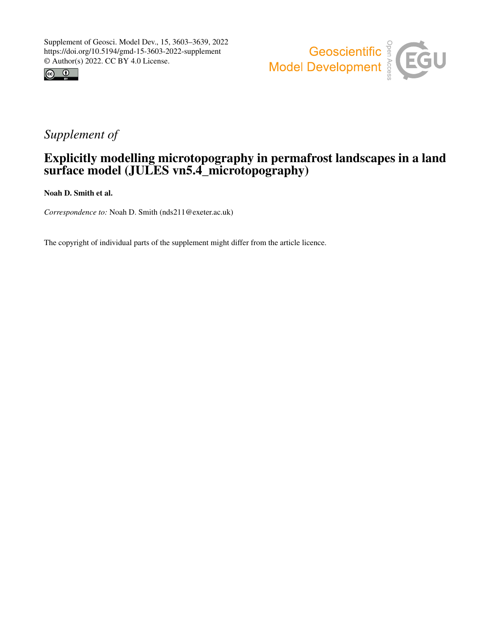



# *Supplement of*

## Explicitly modelling microtopography in permafrost landscapes in a land surface model (JULES vn5.4\_microtopography)

Noah D. Smith et al.

*Correspondence to:* Noah D. Smith (nds211@exeter.ac.uk)

The copyright of individual parts of the supplement might differ from the article licence.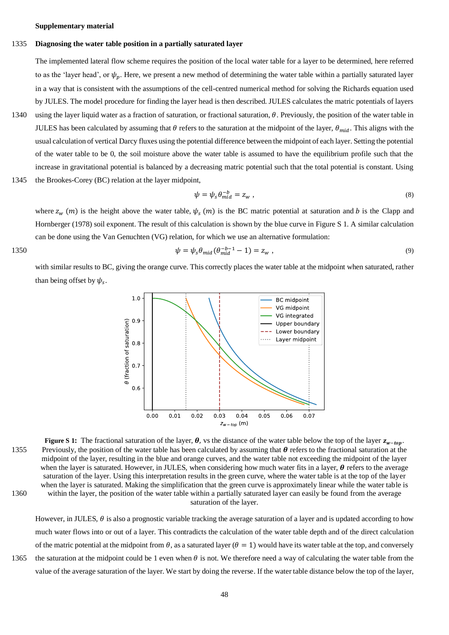**Supplementary material**

### 1335 **Diagnosing the water table position in a partially saturated layer**

The implemented lateral flow scheme requires the position of the local water table for a layer to be determined, here referred to as the 'layer head', or  $\psi_n$ . Here, we present a new method of determining the water table within a partially saturated layer in a way that is consistent with the assumptions of the cell-centred numerical method for solving the Richards equation used by JULES. The model procedure for finding the layer head is then described. JULES calculates the matric potentials of layers

- 1340 using the layer liquid water as a fraction of saturation, or fractional saturation,  $\theta$ . Previously, the position of the water table in JULES has been calculated by assuming that  $\theta$  refers to the saturation at the midpoint of the layer,  $\theta_{mid}$ . This aligns with the usual calculation of vertical Darcy fluxes using the potential difference between the midpoint of each layer. Setting the potential of the water table to be 0, the soil moisture above the water table is assumed to have the equilibrium profile such that the increase in gravitational potential is balanced by a decreasing matric potential such that the total potential is constant. Using
- 1345 the Brookes-Corey (BC) relation at the layer midpoint,

$$
\psi = \psi_s \theta_{mid}^{-b} = z_w , \qquad (8)
$$

where  $z_w(m)$  is the height above the water table,  $\psi_s(m)$  is the BC matric potential at saturation and b is the Clapp and Hornberger (1978) soil exponent. The result of this calculation is shown by the blue curve in [Figure S 1.](#page-1-0) A similar calculation can be done using the Van Genuchten (VG) relation, for which we use an alternative formulation:

1350 
$$
\psi = \psi_s \theta_{mid} (\theta_{mid}^{-b-1} - 1) = z_w ,
$$
 (9)

with similar results to BC, giving the orange curve. This correctly places the water table at the midpoint when saturated, rather than being offset by  $\psi_s$ .



<span id="page-1-0"></span>**Figure S 1:** The fractional saturation of the layer,  $\theta$ , vs the distance of the water table below the top of the layer  $z_{w-top}$ . 1355 Previously, the position of the water table has been calculated by assuming that  $\theta$  refers to the fractional saturation at the midpoint of the layer, resulting in the blue and orange curves, and the water table not exceeding the midpoint of the layer when the layer is saturated. However, in JULES, when considering how much water fits in a layer.  $\theta$  refers to the average saturation of the layer. Using this interpretation results in the green curve, where the water table is at the top of the layer when the layer is saturated. Making the simplification that the green curve is approximately linear while the water table is 1360 within the layer, the position of the water table within a partially saturated layer can easily be found from the average saturation of the layer.

However, in JULES,  $\theta$  is also a prognostic variable tracking the average saturation of a layer and is updated according to how much water flows into or out of a layer. This contradicts the calculation of the water table depth and of the direct calculation of the matric potential at the midpoint from  $\theta$ , as a saturated layer ( $\theta = 1$ ) would have its water table at the top, and conversely 1365 the saturation at the midpoint could be 1 even when  $\theta$  is not. We therefore need a way of calculating the water table from the value of the average saturation of the layer. We start by doing the reverse. If the water table distance below the top of the layer,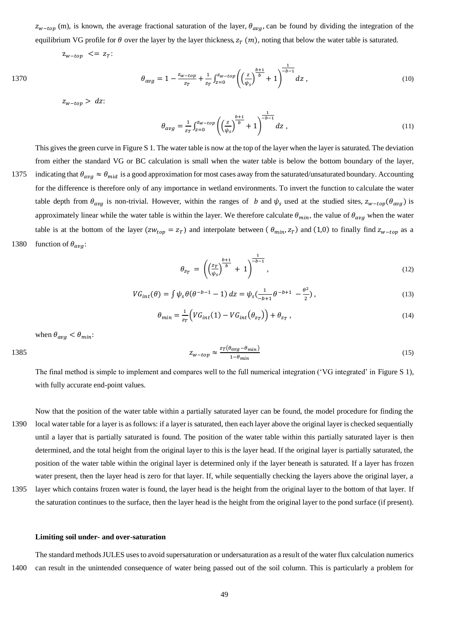$z_{w-top}$  (m), is known, the average fractional saturation of the layer,  $\theta_{avg}$ , can be found by dividing the integration of the equilibrium VG profile for  $\theta$  over the layer by the layer thickness,  $z_T(m)$ , noting that below the water table is saturated.

$$
z_{w-top} \ \leq = \ z_T
$$

1370 
$$
\theta_{avg} = 1 - \frac{z_{w-top}}{z_T} + \frac{1}{z_T} \int_{z=0}^{z_{w-top}} \left( \left( \frac{z}{\psi_s} \right)^{\frac{b+1}{b}} + 1 \right)^{\frac{1}{-b-1}} dz , \qquad (10)
$$

 $z_{w-top} > dz$ :

$$
\theta_{avg} = \frac{1}{z_T} \int_{z=0}^{z_{w-top}} \left( \left( \frac{z}{\psi_s} \right)^{\frac{b+1}{b}} + 1 \right)^{\frac{1}{-b-1}} dz , \qquad (11)
$$

This gives the green curve in [Figure S 1.](#page-1-0) The water table is now at the top of the layer when the layer is saturated. The deviation from either the standard VG or BC calculation is small when the water table is below the bottom boundary of the layer, 1375 indicating that  $\theta_{avg} \approx \theta_{mid}$  is a good approximation for most cases away from the saturated/unsaturated boundary. Accounting

for the difference is therefore only of any importance in wetland environments. To invert the function to calculate the water table depth from  $\theta_{avg}$  is non-trivial. However, within the ranges of b and  $\psi_s$  used at the studied sites,  $z_{w-top}(\theta_{avg})$  is approximately linear while the water table is within the layer. We therefore calculate  $\theta_{min}$ , the value of  $\theta_{avg}$  when the water table is at the bottom of the layer ( $zw_{top} = z_T$ ) and interpolate between ( $\theta_{min}, z_T$ ) and (1,0) to finally find  $z_{w-top}$  as a 1380 function of  $\theta_{avg}$ :

$$
\theta_{z_T} = \left( \left( \frac{z_T}{\psi_s} \right)^{\frac{b+1}{b}} + 1 \right)^{\frac{1}{-b-1}},\tag{12}
$$

$$
VG_{int}(\theta) = \int \psi_s \theta (\theta^{-b-1} - 1) dz = \psi_s (\frac{1}{-b+1} \theta^{-b+1} - \frac{\theta^2}{2}),
$$
\n(13)

$$
\theta_{min} = \frac{1}{z_T} \Big( V G_{int}(1) - V G_{int} \Big( \theta_{z_T} \Big) \Big) + \theta_{z_T} \,, \tag{14}
$$

when  $\theta_{avg} < \theta_{min}$ :

$$
Z_{w-top} \approx \frac{z_T(\theta_{avg} - \theta_{min})}{1 - \theta_{min}} \tag{15}
$$

The final method is simple to implement and compares well to the full numerical integration ('VG integrated' in [Figure S 1\)](#page-1-0), with fully accurate end-point values.

Now that the position of the water table within a partially saturated layer can be found, the model procedure for finding the 1390 local water table for a layer is as follows: if a layer is saturated, then each layer above the original layer is checked sequentially until a layer that is partially saturated is found. The position of the water table within this partially saturated layer is then determined, and the total height from the original layer to this is the layer head. If the original layer is partially saturated, the position of the water table within the original layer is determined only if the layer beneath is saturated. If a layer has frozen water present, then the layer head is zero for that layer. If, while sequentially checking the layers above the original layer, a

1395 layer which contains frozen water is found, the layer head is the height from the original layer to the bottom of that layer. If the saturation continues to the surface, then the layer head is the height from the original layer to the pond surface (if present).

#### **Limiting soil under- and over-saturation**

The standard methods JULES uses to avoid supersaturation or undersaturation as a result of the water flux calculation numerics 1400 can result in the unintended consequence of water being passed out of the soil column. This is particularly a problem for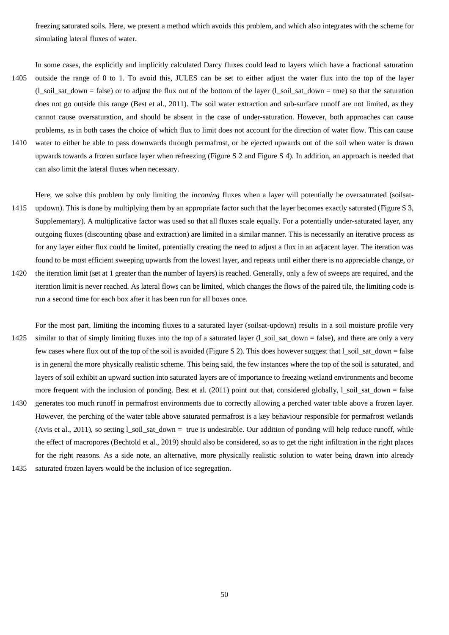freezing saturated soils. Here, we present a method which avoids this problem, and which also integrates with the scheme for simulating lateral fluxes of water.

In some cases, the explicitly and implicitly calculated Darcy fluxes could lead to layers which have a fractional saturation 1405 outside the range of 0 to 1. To avoid this, JULES can be set to either adjust the water flux into the top of the layer  $(1$ <sub>soil</sub>\_sat\_down = false) or to adjust the flux out of the bottom of the layer  $(1$ <sub>soil</sub>\_sat\_down = true) so that the saturation does not go outside this range (Best et al., 2011). The soil water extraction and sub-surface runoff are not limited, as they cannot cause oversaturation, and should be absent in the case of under-saturation. However, both approaches can cause problems, as in both cases the choice of which flux to limit does not account for the direction of water flow. This can cause 1410 water to either be able to pass downwards through permafrost, or be ejected upwards out of the soil when water is drawn upwards towards a frozen surface layer when refreezing [\(Figure S 2](#page-4-0) and [Figure S 4\)](#page-4-1). In addition, an approach is needed that can also limit the lateral fluxes when necessary.

Here, we solve this problem by only limiting the *incoming* fluxes when a layer will potentially be oversaturated (soilsat-1415 updown). This is done by multiplying them by an appropriate factor such that the layer becomes exactly saturated [\(Figure S 3,](#page-4-2) Supplementary). A multiplicative factor was used so that all fluxes scale equally. For a potentially under-saturated layer, any outgoing fluxes (discounting qbase and extraction) are limited in a similar manner. This is necessarily an iterative process as for any layer either flux could be limited, potentially creating the need to adjust a flux in an adjacent layer. The iteration was found to be most efficient sweeping upwards from the lowest layer, and repeats until either there is no appreciable change, or 1420 the iteration limit (set at 1 greater than the number of layers) is reached. Generally, only a few of sweeps are required, and the

iteration limit is never reached. As lateral flows can be limited, which changes the flows of the paired tile, the limiting code is run a second time for each box after it has been run for all boxes once.

For the most part, limiting the incoming fluxes to a saturated layer (soilsat-updown) results in a soil moisture profile very 1425 similar to that of simply limiting fluxes into the top of a saturated layer (l\_soil\_sat\_down = false), and there are only a very few cases where flux out of the top of the soil is avoided [\(Figure S 2\)](#page-4-0). This does however suggest that l\_soil\_sat\_down = false is in general the more physically realistic scheme. This being said, the few instances where the top of the soil is saturated, and layers of soil exhibit an upward suction into saturated layers are of importance to freezing wetland environments and become more frequent with the inclusion of ponding. Best et al.  $(2011)$  point out that, considered globally,  $l\_soi\_sat\_down = false$ 1430 generates too much runoff in permafrost environments due to correctly allowing a perched water table above a frozen layer. However, the perching of the water table above saturated permafrost is a key behaviour responsible for permafrost wetlands (Avis et al., 2011), so setting l\_soil\_sat\_down = true is undesirable. Our addition of ponding will help reduce runoff, while the effect of macropores (Bechtold et al., 2019) should also be considered, so as to get the right infiltration in the right places

for the right reasons. As a side note, an alternative, more physically realistic solution to water being drawn into already 1435 saturated frozen layers would be the inclusion of ice segregation.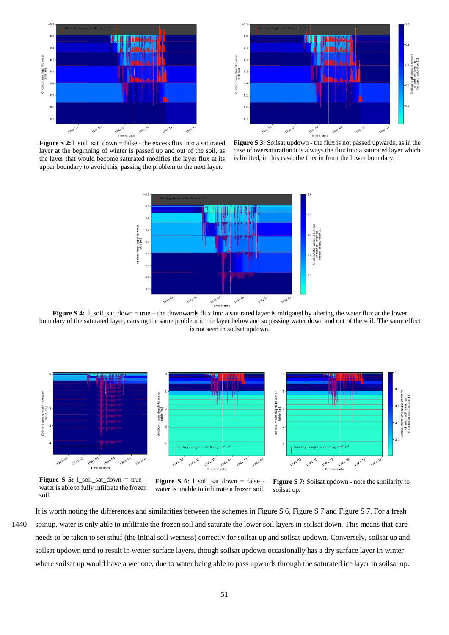

 $-0$  $\overline{0}$  $0.1$ water  $0.2$ mean depth t<br>table [m]  $0.\overline{3}$  $0.4$ **Gridbox**  $0.5$  $0.6$ 041.03 1941.0 1942-23 **042.07** 

<span id="page-4-0"></span>**Figure S 2:** l\_soil\_sat\_down = false - the excess flux into a saturated layer at the beginning of winter is passed up and out of the soil, as the layer that would become saturated modifies the layer flux at its upper boundary to avoid this, passing the problem to the next layer.

<span id="page-4-2"></span>



<span id="page-4-1"></span>**Figure S 4:** 1\_soil\_sat\_down = true – the downwards flux into a saturated layer is mitigated by altering the water flux at the lower boundary of the saturated layer, causing the same problem in the layer below and so passing water down and out of the soil. The same effect is not seen in soilsat updown.



**Figure S 5:** l\_soil\_sat\_down = true water is able to fully infiltrate the frozen soil.

<span id="page-4-3"></span>**Figure S 6:** l\_soil\_sat\_down = false water is unable to infiltrate a frozen soil.

<span id="page-4-4"></span>**Figure S 7:** Soilsat updown - note the similarity to soilsat up.

It is worth noting the differences and similarities between the schemes in [Figure S 6,](#page-4-3) [Figure S 7](#page-4-4) and [Figure S 7.](#page-4-4) For a fresh 1440 spinup, water is only able to infiltrate the frozen soil and saturate the lower soil layers in soilsat down. This means that care needs to be taken to set sthuf (the initial soil wetness) correctly for soilsat up and soilsat updown. Conversely, soilsat up and soilsat updown tend to result in wetter surface layers, though soilsat updown occasionally has a dry surface layer in winter where soilsat up would have a wet one, due to water being able to pass upwards through the saturated ice layer in soilsat up.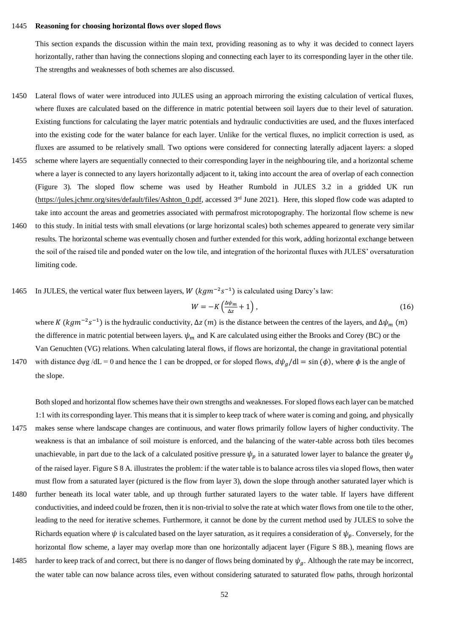#### 1445 **Reasoning for choosing horizontal flows over sloped flows**

This section expands the discussion within the main text, providing reasoning as to why it was decided to connect layers horizontally, rather than having the connections sloping and connecting each layer to its corresponding layer in the other tile. The strengths and weaknesses of both schemes are also discussed.

- 1450 Lateral flows of water were introduced into JULES using an approach mirroring the existing calculation of vertical fluxes, where fluxes are calculated based on the difference in matric potential between soil layers due to their level of saturation. Existing functions for calculating the layer matric potentials and hydraulic conductivities are used, and the fluxes interfaced into the existing code for the water balance for each layer. Unlike for the vertical fluxes, no implicit correction is used, as fluxes are assumed to be relatively small. Two options were considered for connecting laterally adjacent layers: a sloped
- 1455 scheme where layers are sequentially connected to their corresponding layer in the neighbouring tile, and a horizontal scheme where a layer is connected to any layers horizontally adjacent to it, taking into account the area of overlap of each connection (Figure 3). The sloped flow scheme was used by Heather Rumbold in JULES 3.2 in a gridded UK run [\(https://jules.jchmr.org/sites/default/files/Ashton\\_0.pdf,](https://jules.jchmr.org/sites/default/files/Ashton_0.pdf) accessed  $3<sup>rd</sup>$  June 2021). Here, this sloped flow code was adapted to take into account the areas and geometries associated with permafrost microtopography. The horizontal flow scheme is new
- 1460 to this study. In initial tests with small elevations (or large horizontal scales) both schemes appeared to generate very similar results. The horizontal scheme was eventually chosen and further extended for this work, adding horizontal exchange between the soil of the raised tile and ponded water on the low tile, and integration of the horizontal fluxes with JULES' oversaturation limiting code.
- 1465 In JULES, the vertical water flux between layers,  $W (kgm^{-2}s^{-1})$  is calculated using Darcy's law:

$$
W = -K\left(\frac{\Delta\psi_m}{\Delta z} + 1\right),\tag{16}
$$

where K ( $kgm^{-2}s^{-1}$ ) is the hydraulic conductivity,  $\Delta z$  (*m*) is the distance between the centres of the layers, and  $\Delta \psi_m$  (*m*) the difference in matric potential between layers.  $\psi_m$  and K are calculated using either the Brooks and Corey (BC) or the Van Genuchten (VG) relations. When calculating lateral flows, if flows are horizontal, the change in gravitational potential

1470 with distance dyg /dL = 0 and hence the 1 can be dropped, or for sloped flows,  $d\psi_a$ /dl = sin ( $\phi$ ), where  $\phi$  is the angle of the slope.

Both sloped and horizontal flow schemes have their own strengths and weaknesses. For sloped flows each layer can be matched 1:1 with its corresponding layer. This means that it is simpler to keep track of where water is coming and going, and physically 1475 makes sense where landscape changes are continuous, and water flows primarily follow layers of higher conductivity. The

- weakness is that an imbalance of soil moisture is enforced, and the balancing of the water-table across both tiles becomes unachievable, in part due to the lack of a calculated positive pressure  $\psi_p$  in a saturated lower layer to balance the greater  $\psi_g$ of the raised layer[. Figure S 8](#page-6-0) A. illustrates the problem: if the water table is to balance across tiles via sloped flows, then water must flow from a saturated layer (pictured is the flow from layer 3), down the slope through another saturated layer which is
- 1480 further beneath its local water table, and up through further saturated layers to the water table. If layers have different conductivities, and indeed could be frozen, then it is non-trivial to solve the rate at which water flows from one tile to the other, leading to the need for iterative schemes. Furthermore, it cannot be done by the current method used by JULES to solve the Richards equation where  $\psi$  is calculated based on the layer saturation, as it requires a consideration of  $\psi_n$ . Conversely, for the horizontal flow scheme, a layer may overlap more than one horizontally adjacent layer [\(Figure S 8B](#page-6-0).), meaning flows are
- 1485 harder to keep track of and correct, but there is no danger of flows being dominated by  $\psi_g$ . Although the rate may be incorrect, the water table can now balance across tiles, even without considering saturated to saturated flow paths, through horizontal